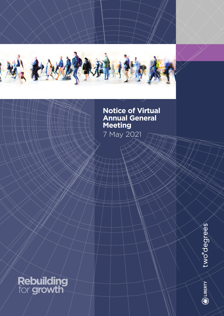

# **Notice of Virtual Annual General Meeting**

7 May 2021

# **Rebuilding** for growth

two<sup>odegrees</sup>

 $\bigcirc$  liberty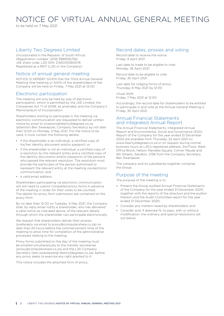to be held on 7 May 2021

# Liberty Two Degrees Limited

(Incorporated in the Republic of South Africa) (Registration number: 2018/388906/06) JSE share code: L2D ISIN: ZAE000260576 Registered as a REIT (L2D or the Company)

# Notice of annual general meeting

NOTICE IS HEREBY GIVEN that the Third Annual General Meeting (the meeting or AGM) of the shareholders of the Company will be held on Friday, 7 May 2021 at 12:00.

# Electronic participation

The meeting will only be held by way of electronic participation, which is permitted by the JSE Limited, the Companies Act 71 of 2008, as amended, and the Company's Memorandum of Incorporation.

Shareholders wishing to participate in the meeting via electronic communication are requested to deliver written notice by email to investors@liberty2degrees.co.za (attention Ben Swanepoel, Company Secretary) by not later than 12:00 on Monday, 3 May 2021. For the notice to be valid, it must contain the following details:

- if the shareholder is an individual, a certified copy of his/her identity document and/or passport; or
- if the shareholder is not an individual, a certified copy of a resolution by the relevant entity and a certified copy of the identity documents and/or passports of the persons who passed the relevant resolution. The resolution must provide the particulars of the person authorised to represent the relevant entity at the meeting via electronic communication; and
- a valid email address.

Shareholders participating via electronic communication will still need to submit completed proxy forms in advance of the meeting in order for their votes to be counted. The details for proxy form submission are contained on the proxy form.

By no later than 12:00 on Tuesday, 4 May 2021, the Company shall, by reply email notify a shareholder, who has delivered a valid notice as indicated above, of the relevant details through which the shareholder can participate electronically.

We request that shareholders deliver their proxies (preferably via email to proxy@computershare.co.za) no later than 24 hours before the commencement time of the meeting to allow time for completion of the administrative processes relating to the meeting.

Proxy forms submitted on the day of the meeting must be emailed simultaneously to the transfer secretaries (proxy@computershare.co.za) and the L2D Company Secretary (ben.swanepoel@ liberty2degrees.co.za), before any proxy seeks to exercise any right granted to it.

This notice includes the attached form of proxy.

# Record dates, proxies and voting

Record date to receive the notice: Friday, 9 April 2021

Last date to trade to be eligible to vote: Monday, 26 April 2021

Record date to be eligible to vote: Friday, 30 April 2021

Last date for lodging forms of proxy: Thursday, 6 May 2021 by 12:00

Vitual AGM: Friday, 7 May 2021 at 12:00

Accordingly, the record date for shareholders to be entitled to participate in and vote at the Annual General Meeting is Friday, 30 April 2021.

# Annual Financial Statements and Integrated Annual Report

The Annual Financial Statements, Integrated Annual Report and Environmental, Social and Governance (ESG) Report of the Company for the year ended 31 December 2020 are available from Thursday, 22 April 2021 on www.liberty2degrees.co.za or on request during normal business hours at L2D's registered address, 3rd Floor, West Office Block, Nelson Mandela Square, Corner Maude and 5th Streets, Sandton, 2196 from the Company Secretary, Ben Swanepoel.

The company and its subsidiaries together comprise the Group.

# Purpose of the meeting

The purpose of the meeting is to:

- Present the Group audited Annual Financial Statements of the Company for the year ended 31 December 2020, together with the reports of the directors and the auditor thereon and the Audit Committee report for the year ended 31 December 2020;
- Consider any matters raised by shareholders; and
- Consider and, if deemed fit, to pass, with or without modification, the ordinary and special resolutions set out below.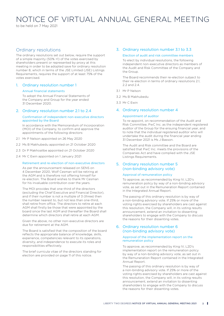to be held on 7 May 2021

# Ordinary resolutions

The ordinary resolutions set out below, require the support of a simple majority (50% +1) of the votes exercised by shareholders present or represented by proxy at this meeting in order to be adopted save for ordinary resolution number 8, which in terms of the JSE Limited (JSE) Listings Requirements, requires the support of at least 75% of the votes exercised.

### 1. Ordinary resolution number 1

#### Annual financial statements

To adopt the Annual Financial Statements of the Company and Group for the year ended 31 December 2020.

# 2. Ordinary resolution number 2.1 to 2.4

#### Confirmation of independent non-executive directors appointed by the Board

In accordance with the Memorandum of Incorporation (MOI) of the Company, to confirm and approve the appointments of the following directors:

- 2.1 Mr P Nelson appointed on 26 May 2020
- 2.2 Ms B Makhubedu appointed on 21 October 2020
- 2.3 Dr P Makhoalibe appointed on 21 October 2020
- 2.4 Mr C Ewin appointed on 1 January 2021

### Retirement and re-election of non-executive directors

As per the announcement released on SENS on 4 December 2020, Wolf Cesman will be retiring at the AGM and is therefore not offering himself for re-election. The Board wishes to thank Mr Cesman for his invaluable contribution over the years.

The MOI provides that one-third of the directors (excluding the Chief Executive and Financial Director), and if their number is not a multiple of 3 (three) then the number nearest to, but not less than one-third, shall retire from office. The directors to retire at each AGM shall firstly be those that were appointed by the board since the last AGM and thereafter the Board shall determine which directors shall retire at each AGM.

Given the above, no other non-executive directors are due for retirement at the AGM.

The Board is satisfied that the composition of the board reflects the appropriate balance of knowledge, skills, experience, competencies relevant to its operations, diversity, and independence to execute its roles and responsibilities effectively.

The brief curricula vitae of the directors standing for election are provided on page 11 of this notice.

# 3. Ordinary resolution number 3.1 to 3.3

### Election of audit and risk committee members

To elect by individual resolutions, the following independent non-executive directors as members of the Audit and Risk Committee of the Company and the Group.

The Board recommends their re-election subject to their re-election in terms of ordinary resolutions 2.1, 2.2 and 2.4.

- 3.1 Mr P Nelson
- 3.2 Ms B Makhubedu
- 3.3 Mr C Ewin

## 4. Ordinary resolution number 4

### Appointment of auditor

To re-appoint, on recommendation of the Audit and Risk Committee, PwC Inc. as the independent registered auditor of the Group for the ensuing financial year, and to note that the individual registered auditor who will undertake the audit during the financial year ending 31 December 2021 is Ms J Basson.

The Audit and Risk committee and the Board are satisfied that PwC Inc. meets the provisions of the Companies Act and have complied with the JSE Listings Requirements.

## 5. Ordinary resolution number 5 (non-binding advisory vote)

### Approval of remuneration policy

To approve, as recommended by King IV, L2D's remuneration policy by way of a non-binding advisory vote, as set out in the Remuneration Report contained in the Integrated Annual Report.

The passing of this ordinary resolution is by way of a non-binding advisory vote. If 25% or more of the voting rights exercised by shareholders are cast against this resolution, the Company will, in its voting results announcement, extend an invitation to dissenting shareholders to engage with the Company to discuss the reasons for their dissenting votes.

# 6. Ordinary resolution number 6 (non-binding advisory vote)

#### Approval of the implementation report on the remuneration policy

To approve, as recommended by King IV, L2D's implementation report on the remuneration policy by way of a non-binding advisory vote, as set out in the Remuneration Report contained in the Integrated Annual Report.

The passing of this ordinary resolution is by way of a non-binding advisory vote. If 25% or more of the voting rights exercised by shareholders are cast against this resolution, the Company will, in its voting results announcement, extend an invitation to dissenting shareholders to engage with the Company to discuss the reasons for their dissenting votes.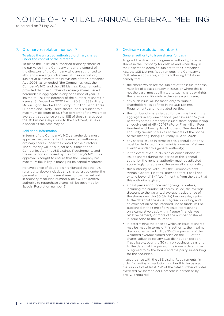to be held on 7 May 2021

# 7. Ordinary resolution number 7

#### To place the unissued authorised ordinary shares under the control of the directors

To place the unissued authorised ordinary shares of no par value in the Company under the control of the directors of the Company who are authorised to allot and issue any such shares at their discretion, subject at all times to the provisions of the Companies Act, 2008, as amended (the Companies Act), the Company's MOI and the JSE Listings Requirements, provided that the number of ordinary shares issued hereunder in aggregate in any one financial year, is limited to 10% (ten percent) of the number of shares in issue at 31 December 2020 being 90 844 333 (Ninety Million Eight Hundred and Forty Four Thousand Three Hundred and Thirty Three shares), and is subject to a maximum discount of 5% (five percent) of the weighted average traded price on the JSE of those shares over the 30 business days prior to the allotment, issue or disposal as the case may be.

#### Additional information

In terms of the Company's MOI, shareholders must approve the placement of the unissued authorised ordinary shares under the control of the directors. The authority will be subject at all times to the Companies Act, the JSE Listings Requirements and the restrictions imposed by the Company's MOI. This approval is sought to ensure that the Company has maximum flexibility in managing its capital resources.

For avoidance of doubt it is highlighted that the 10% referred to above includes any shares issued under the general authority to issue shares for cash as set out in ordinary resolution number 9 below. The general authority to repurchase shares will be governed by Special Resolution number 3.

## 8. Ordinary resolution number 8

#### General authority to issue shares for cash

To grant the directors the general authority, to issue shares in the Company for cash as and when they in their discretion deem fit, subject to the Companies Act, the JSE Listings Requirements, the Company's MOI, where applicable, and the following limitations, namely that:

- the shares which are the subject of the issue for cash must be of a class already in issue, or where this is not the case, must be limited to such shares or rights that are convertible into a class already in issue;
- any such issue will be made only to "public shareholders" as defined in the JSE Listings Requirements and not related parties;
- the number of shares issued for cash shall not in the aggregate in any one financial year exceed 5% (five percent) of the Company's issued share capital, being an equivalent of 45 422 167 (Forty Five Million Four Hundred and Twenty Two Thousand One Hundred and Sixty Seven) shares as at the date of the notice of this meeting, being Thursday, 15 April 2021;
- any shares issued in terms of this general authority must be deducted from the initial number of shares available under this general authority;
- in the event of a sub-division or consolidation of issued shares during the period of this general authority, the general authority must be adjusted accordingly to represent the same allocation ratio;
- this authority be valid until the Company's next Annual General Meeting, provided that it shall not extend beyond 15 (fifteen) months from the date that this authority is given;
- a paid press announcement giving full details, including the number of shares issued, the average discount to the weighted average traded price of the shares over the 30 (thirty) business days prior to the date that the issue is agreed in writing and an explanation of the intended use of funds, will be published at the time of any issue representing, on a cumulative basis within 1 (one) financial year, 5% (five percent) or more of the number of shares in issue prior to the issue; and
- in determining the price at which an issue of shares may be made in terms of this authority, the maximum discount permitted will be 5% (five percent) of the weighted average traded price on the JSE of the shares, adjusted for any *cum* distribution portion, if applicable, over the 30 (thirty) business days prior to the date that the price of the issue is determined or agreed to by the Board and the party subscribing for the securities.

In accordance with the JSE Listing Requirements, in order for ordinary resolution number 8 to be passed, the support of at least 75% of the total number of votes exercised by shareholders, present in person or by proxy, is required.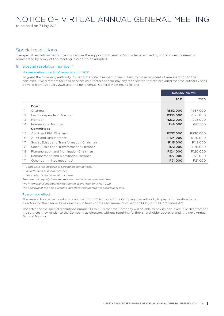to be held on 7 May 2021

# Special resolutions

The special resolutions set out below, require the support of at least 75% of votes exercised by shareholders present or represented by proxy at this meeting in order to be adopted.

### 9. Special resolution number 1

#### Non-executive directors' remuneration 2021

To grant the Company authority, by separate vote in respect of each item, to make payment of remuneration to the non-executive directors for their services as directors and/or pay any fees related thereto provided that the authority shall be valid from 1 January 2021 until the next Annual General Meeting, as follows:

|               |                                            | <b>EXCLUDING VAT</b> |          |
|---------------|--------------------------------------------|----------------------|----------|
|               |                                            | 2021                 | 2020     |
|               | <b>Board</b>                               |                      |          |
| 1.1           | Chairman <sup>1</sup>                      | R862000              | R837000  |
| $1.2^{\circ}$ | Lead Independent Director <sup>2</sup>     | R335000              | R325 000 |
| 1.3           | Member                                     | R232000              | R225000  |
| 1.4           | International Member                       | £48000               | £47 050  |
|               | Committees                                 |                      |          |
| 1.5           | Audit and Risk Chairman                    | R237000              | R230000  |
| 1.6           | Audit and Risk Member                      | R <sub>124</sub> 000 | R120000  |
| 1.7           | Social. Ethics and Transformation Chairman | R <sub>115</sub> 000 | R112 000 |
| 1.8           | Social. Ethics and Transformation Member   | R72000               | R70000   |
| 1.9           | Remuneration and Nomination Chairman       | R <sub>124</sub> 000 | R120000  |
| 1.10          | Remuneration and Nomination Member         | R77000               | R75000   |
| 1.11          | Other committee meetings <sup>3</sup>      | R21000               | R21000   |

*1 Composite fee inclusive of serving on committees.*

*<sup>2</sup> Includes fees as board member*

*<sup>3</sup> Fees determined on an* ad hoc *basis*

*Fees are split equally between retainers and attendance-based fees.*

*The international member will be retiring at the AGM on 7 May 2021.*

*The approval of the non-executive directors' remuneration is exclusive of VAT.*

#### Reason and effect

The reason for special resolutions number 1.1 to 1.11 is to grant the Company the authority to pay remuneration to its directors for their services as directors in terms of the requirements of section 66(9) of the Companies Act.

The effect of the special resolutions number 1.1 to 1.11 is that the Company will be able to pay its non-executive directors for the services they render to the Company as directors without requiring further shareholder approval until the next Annual General Meeting.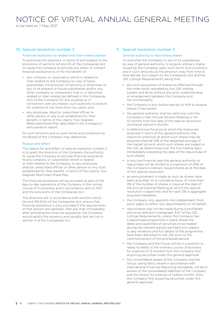to be held on 7 May 2021

# 10. Special resolution number 2

#### Financial assistance to related and inter-related parties

To authorise the directors, in terms of and subject to the provisions of sections 44 and 45 of the Companies Act, to cause the Company to provide any direct or indirect financial assistance to or for the benefit of:

- any company or corporation which is related or inter-related to the Company by way of loans, guarantees, the provision of security or otherwise, to any of its present or future subsidiaries and/or any other company or corporation that is, or becomes related or inter-related (as defined in the Companies Act) to the Company for any purpose or in connection with any matter, such authority to endure for a period of not more than two years; and
- any employee, director, prescribed officer or other person or any trust established for their benefit, in terms of the Liberty Two Degrees Restricted Share Plan described in the Company's remuneration report.

for such amounts and on such terms and conditions as the Board of the Company may determine.

#### Reason and effect

The reason for and effect of special resolution number 2 is to grant the directors of the Company the authority to cause the Company to provide financial assistance to any company or corporation which is related or inter-related to the Company, or any employee, director, prescribed officer or other person or any trust established for their benefit, in terms of the Liberty Two Degrees Restricted Share Plan.

The financial assistance will be provided as part of the day-to-day operations of the Company in the normal course of its business and in accordance with its MOI and the provisions of the Companies Act.

The directors will, in accordance with sections 44(3) (b) and 45(3)(b) of the Companies Act, ensure that financial assistance is only provided if the requirements of that section are satisfied, *inter alia*, that immediately after providing the financial assistance, the Company would satisfy the solvency and liquidity test set out in section 4 of the Companies Act.

## 11. Special resolution number 3

#### General authority to repurchase shares

To authorise the Company or any of its subsidiaries, by way of general authority, to acquire ordinary shares issued by the Company upon such terms and conditions and in such amounts as the directors may from time to time decide, but subject to the Companies Act and the JSE Listings Requirements, being that:

- any such acquisition of shares be effected through the order book operated by the JSE trading system and done without any prior understanding or arrangement between the Company and the counterparty;
- the Company is duly authorised by its MOI to acquire shares it has issued;
- the general authority shall be valid only until the Company's next Annual General Meeting or for 15 months from the date of this special resolution, whichever period is shorter;
- in determining the price at which the shares are acquired in terms of this general authority the maximum premium at which such shares may be acquired shall be 10% of the weighted average of the market price at which such shares are traded on the JSE, as determined over the five trading days immediately preceding the date of the repurchase of such shares;
- in any one financial year the general authority to repurchase will be limited to a maximum of 20% of the Company's ordinary issued shares as at the date of this special resolution;
- an announcement is made as soon as shares have been acquired, on a cumulative basis, of more than 3% of the number of shares in issue at the date of the Annual General Meeting at which this special resolution is approved, and for each 3% in aggregate acquired thereafter:
- the Company only appoints one independent third party agent to effect any repurchase(s) on its behalf;
- repurchases may not be made during a prohibited period as defined in paragraph 3.67 of the JSE Listings Requirements, unless the Company has a repurchase programme in place where the dates and quantities of securities to be traded during the relevant period are fixed (not subject to any variation) and full details of the programme have been disclosed to the JSE prior to the commencement of the prohibited period;
- the Company and the Group will be in a position to repay its debts in the ordinary course of business for a period of 12 months from the Company first acquiring securities under this general approval;
- the consolidated assets of the Company and the Group, being fairly valued in accordance with International Financial Reporting Standards, will be in excess of the consolidated liabilities of the Company and the Group for a period of twelve months from the Company first acquiring securities under this general approval;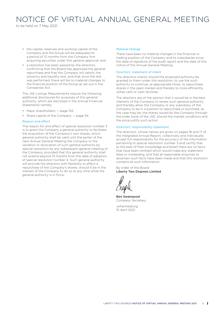to be held on 7 May 2021

- the capital, reserves and working capital of the Company and the Group will be adequate for a period of 12 months from the Company first acquiring securities under this general approval; and
- a resolution has been passed by the directors confirming that the Board has approved the general repurchase and that the Company will satisfy the solvency and liquidity test, and that since the test was performed, there will be no material changes to the financial position of the Group as set out in the Companies Act.

The JSE Listings Requirements require the following additional disclosures for purposes of this general authority, which are disclosed in the Annual Financial Statements namely:

- Major shareholders page 102
- Share capital of the Company page 54

#### Reason and effect

The reason for and effect of special resolution number 3 is to grant the Company a general authority to facilitate the acquisition of the Company's own shares, which general authority shall be valid until the earlier of the next Annual General Meeting the Company or the variation or revocation of such general authority by special resolution by any subsequent general meeting of the Company, provided that this general authority shall not extend beyond 15 months from the date of adoption of special resolution number 4. Such general authority will provide the directors with flexibility to affect a repurchase of the Company's shares, should it be in the interest of the Company to do so at any time while the general authority is in force.

#### Material change

There have been no material changes in the financial or trading position of the Company and its subsidiaries since the date of signature of the audit report and the date of this notice of the Annual General Meeting.

#### Directors' statement of intent

The directors intend, should the proposed authority be granted to them under this resolution, to use the such authority to continue, at appropriate times, to repurchase shares in the open market and thereby to more efficiently utilise cash or cash facilities.

The directors are of the opinion that it would be in the best interests of the Company to renew such general authority and thereby allow the Company or any subsidiary of the Company to be in a position to repurchase or purchase, as the case may be, the shares issued by the Company through the order book of the JSE, should the market conditions and the price justify such action.

#### Directors' responsibility statement

The directors, whose names are given on pages 16 and 17 of the Integrated Annual Report, collectively and individually accept full responsibility for the accuracy of the information pertaining to special resolution number 3 and certify that to the best of their knowledge and belief there are no facts that have been omitted which would make any statement false or misleading, and that all reasonable enquiries to ascertain such facts have been made and that this resolution contains all such information.

By order of the Board Liberty Two Degrees Limited

Ben Swanepoel *Company Secretary*

Johannesburg 15 April 2021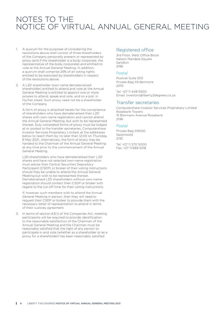# NOTES TO THE NOTICE OF VIRTUAL ANNUAL GENERAL MEETING

- 1. A quorum for the purposes of considering the resolutions above shall consist of three shareholders of the Company personally present or represented by proxy (and if the shareholder is a body corporate, the representative of the body corporate) and entitled to vote at the Annual General Meeting. In addition, a quorum shall comprise 25% of all voting rights entitled to be exercised by shareholders in respect of the resolutions above.
- 2. A L2D shareholder (own name dematerialised shareholder) entitled to attend and vote at the Annual General Meeting is entitled to appoint one or more proxies to attend, speak and vote, and on a poll, in his/her stead. Such proxy need not be a shareholder of the Company.

A form of proxy is attached hereto for the convenience of shareholders who have dematerialised their L2D shares with own-name registration and cannot attend the Annual General Meeting, but wish to be represented thereat. Duly completed forms of proxy must be lodged at or posted to the transfer secretaries, Computershare Investor Services Proprietary Limited, at the addresses below to reach them by no later than 12:00 on Thursday, 6 May 2021. Alternatively, the form of proxy may be handed to the Chairman of the Annual General Meeting at any time prior to the commencement of the Annual General Meeting.

L2D shareholders who have dematerialised their L2D shares and have not selected own-name registration must advise their Central Securities Depository Participant (CSDP) or broker of their voting instructions should they be unable to attend the Annual General Meeting but wish to be represented thereat. Dematerialised L2D shareholders without own-name registration should contact their CSDP or broker with regard to the cut-off time for their voting instructions.

If, however, such members wish to attend the Annual General Meeting in person, then they will need to request their CSDP or broker to provide them with the necessary letter of representation to attend in terms of their custody agreement.

3. In terms of section 63(1) of the Companies Act, meeting participants will be required to provide identification to the reasonable satisfaction of the Chairman of the Annual General Meeting and the Chairman must be reasonably satisfied that the right of any person to participate in and vote (whether as a shareholder or as a proxy for a shareholder) has been reasonably satisfied

# Registered office

3rd Floor, West Office Block Nelson Mandela Square Sandton 2196

### Postal

Postnet Suite 202 Private Bag X9 Benmore 2010

Tel: +27 11 448 5500 Email: investors@liberty2degrees.co.za

# Transfer secretaries

Computershare Investor Services Proprietary Limited Rosebank Towers 15 Biermann Avenue Rosebank 2196

## Postal

Private Bag X9000 Saxonwold  $2132$ 

Tel: +27 11 370 5000 Fax: +27 11 688 5218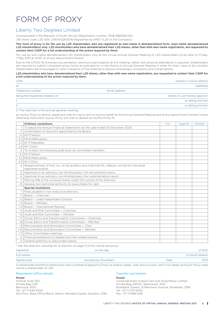# FORM OF PROXY

# Liberty Two Degrees Limited

(Incorporated in the Republic of South Africa) (Registration number: 2018/388906/06)

JSE share code: L2D ISIN: ZAE000260576 Registered as a REIT (L2D or the Company)

This form of proxy is for the use by L2D shareholders who are registered as own-name in dematerialised form, (own-name dematerialised L2D shareholders) only. L2D shareholders who have dematerialised their L2D shares, other than with own-name registration, are requested to contact their CSDP for a full understanding of the action required by them.

For use by own-name dematerialised L2D shareholders only at the Virtual Annual General Meeting of L2D shareholders to be held on Friday, 7 May 2021 at 12:00, or at any adjournment thereof.

Due to the COVID-19 (Coronavirus) pandemic, electronic participation at the meeting, rather than physical attendance is required. Shareholders are required to submit completed proxy forms as provided for in the Notice of Annual General Meeting in order for their votes to be counted. Shareholders are encouraged to vote in advance of the meeting to reduce unnecessary complexity and complications.

L2D shareholders who have dematerialised their L2D shares, other than with own-name registration, are requested to contact their CSDP for a full understanding of the action required by them.

| I/We                             |               | (name/s in block letters)     |  |  |
|----------------------------------|---------------|-------------------------------|--|--|
| of                               |               | (address)                     |  |  |
| Telephone number                 | Email address |                               |  |  |
| being the registered holder/s of |               | shares in L2D hereby appoint: |  |  |
|                                  |               | or failing him/her            |  |  |
| 2.                               |               | or failing him/her            |  |  |

3. The chairman of the annual general meeting,

as my/our Proxy to attend, speak and vote for me/us and on my/our behalf at the Annual General Meeting and at any adjournment thereof. Unless otherwise instructed, my/our Proxy will vote or abstain as he/she thinks fit.

|      | <b>Ordinary resolutions</b>                                                                                         | For | Against | Abstain |
|------|---------------------------------------------------------------------------------------------------------------------|-----|---------|---------|
|      | 1. To adopt the Annual Financial Statements for the year ended 31 December 2020                                     |     |         |         |
|      | Confirmation of directors appointed by the Board:                                                                   |     |         |         |
| 2.1  | Mr P Nelson                                                                                                         |     |         |         |
| 2.21 | Ms B Makhubedu                                                                                                      |     |         |         |
|      | 2.3 Dr P Makoalibe                                                                                                  |     |         |         |
|      | 2.4 Mr C Fwin                                                                                                       |     |         |         |
| 3.   | To re-elect the following audit and risk committee members:                                                         |     |         |         |
| 31   | Mr P Nelson                                                                                                         |     |         |         |
|      | 3.2 Ms B Makhubedu                                                                                                  |     |         |         |
|      | 3.3 Mr C Ewin                                                                                                       |     |         |         |
|      | 4. Reappointment of PwC Inc. as the auditors and note that Ms J Basson will be the individual<br>registered auditor |     |         |         |
|      | 5. Approval on an advisory, non-binding basis, the remuneration policy                                              |     |         |         |
|      | 6. Approval on an advisory, non-binding basis, the implementation report                                            |     |         |         |
|      | Placing 10% of the unissued shares under the control of the directors                                               |     |         |         |
|      | 8. General, but restricted authority to issue shares for cash                                                       |     |         |         |
|      | <b>Special resolutions</b>                                                                                          |     |         |         |
|      | 1. Fees payable to non-executive directors:                                                                         |     |         |         |
|      | Board - Chairman                                                                                                    |     |         |         |
|      | $1.2$ Board $-$ Lead Independent Director                                                                           |     |         |         |
| 1.3  | Board – Member                                                                                                      |     |         |         |
| 1.4  | Board — International Member                                                                                        |     |         |         |
|      | 1.5 Audit and Risk Committee - Chairman                                                                             |     |         |         |
|      | 1.6 Audit and Risk Committee - Member                                                                               |     |         |         |
| 1.7  | Social, Ethics and Transformation Committee - Chairman                                                              |     |         |         |
|      | 1.8 Social, Ethics and Transformation Committee - Member                                                            |     |         |         |
|      | 1.9 Remuneration and Nomination Committee - Chair                                                                   |     |         |         |
|      | 1.10 Remuneration and Nomination Committee - Member                                                                 |     |         |         |
| 1.11 | Other Committees meetings                                                                                           |     |         |         |
|      | 2. Financial assistance to related and inter-related parties                                                        |     |         |         |
|      | 3. General authority to repurchase shares                                                                           |     |         |         |

*\* See the directors standing for re-election on page 11 of this notice and proxy.*

| Signed at    | on this day            |      | of 2021            |
|--------------|------------------------|------|--------------------|
| Full names   |                        |      | (in block letters) |
| Signature(s) | Assisted by (Guardian) | Date | 2021               |

A shareholder entitled to attend and vote is entitled to appoint a Proxy to attend, speak, vote, and on a poll, vote in his stead, and such Proxy need not be a shareholder of L2D.

#### Registered office details

#### Postal

Postnet Suite 202 Private Bag X29 Benmore, 2010 Tel. +27 11 448 5500 3rd Floor, West Office Block, Nelson Mandela Square, Sandton, 2196

#### Transfer secretaries

# Postal

Computershare Investor Services Proprietary Limited Private Bag X9000, Saxonwold, 2132 Rosebank Towers, 15 Biermann Avenue, Rosebank, 2196 Tel. +27 11 370 5000 Fax. +27 11 688 5218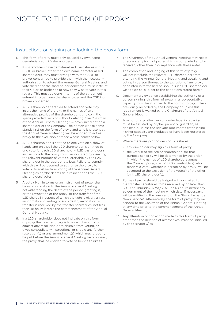# NOTES TO THE FORM OF PROXY

# Instructions on signing and lodging the proxy form

- 1. This form of proxy must only be used by own name dematerialised L2D shareholders.
- 2. If shareholders have dematerialised their shares with a CSDP or broker, other than own name dematerialised shareholders, they must arrange with the CSDP or broker concerned to provide them with the necessary authorisation to attend the Annual General Meeting and vote thereat or the shareholder concerned must instruct their CSDP or broker as to how they wish to vote in this regard. This must be done in terms of the agreement entered into between the shareholder and the CSDP or broker concerned.
- 3. A L2D shareholder entitled to attend and vote may insert the name of a proxy or the names of two alternative proxies of the shareholder's choice in the space provided, with or without deleting "the Chairman of the Annual General Meeting". A proxy need not be a shareholder of the Company. The person whose name stands first on the form of proxy and who is present at the Annual General Meeting will be entitled to act as proxy to the exclusion of those whose names follow.
- 4. A L2D shareholder is entitled to one vote on a show of hands and on a poll the L2D shareholder is entitled to one vote for each L2D share held. A L2D shareholder's instructions to the proxy must be indicated by inserting the relevant number of votes exercisable by the L2D shareholder in the appropriate box. Failure to comply with this will be deemed to authorise the proxy to vote or to abstain from voting at the Annual General Meeting as he/she deems fit in respect of all the L2D shareholders' votes.
- 5. A vote given in terms of an instrument of proxy shall be valid in relation to the Annual General Meeting notwithstanding the death of the person granting it, or the revocation of the proxy, or the transfer of the L2D shares in respect of which the vote is given, unless an intimation in writing of such death, revocation or transfer is received by the transfer secretaries, not less than 48 hours before the commencement of the Annual General Meeting.
- 6. If a L2D shareholder does not indicate on this form of proxy that his/her proxy is to vote in favour of or against any resolution or to abstain from voting, or gives contradictory instructions, or should any further resolution(s) or any amendment(s) which may properly be put before the Annual General Meeting be proposed, the proxy shall be entitled to vote as he/she thinks fit.
- 7. The Chairman of the Annual General Meeting may reject or accept any form of proxy which is completed and/or received, other than in compliance with these notes.
- 8. The completion and lodging of this form of proxy will not preclude the relevant L2D shareholder from attending the Annual General Meeting and speaking and voting in person thereat to the exclusion of any proxy appointed in terms hereof, should such L2D shareholder wish to do so, subject to the conditions stated herein.
- 9. Documentary evidence establishing the authority of a person signing this form of proxy in a representative capacity must be attached to this form of proxy, unless previously recorded by the Company or unless this requirement is waived by the Chairman of the Annual General Meeting.
- 10. A minor or any other person under legal incapacity must be assisted by his/her parent or guardian, as applicable, unless the relevant documents establishing his/her capacity are produced or have been registered by the Company.
- 11. Where there are joint holders of L2D shares:
	- any one holder may sign this form of proxy;
	- the vote(s) of the senior shareholder (for that purpose seniority will be determined by the order in which the names of L2D shareholders appear in the Company's register of L2D shareholders) who tenders a vote (whether in person or by proxy) will be accepted to the exclusion of the vote(s) of the other joint L2D shareholder(s).
- 12. Forms of proxy should be lodged with or mailed to the transfer secretaries to be received by no later than 12:00 on Thursday, 6 May 2021 (or 48 hours before any adjournment of the meeting which date, if necessary, will be notified in the press and on the Stock Exchange News Service). Alternatively, the form of proxy may be handed to the Chairman of the Annual General Meeting at any time prior to the commencement of the Annual General Meeting.
- 13. Any alteration or correction made to this form of proxy, other than the deletion of alternatives, must be initialled by the signatory/ies.